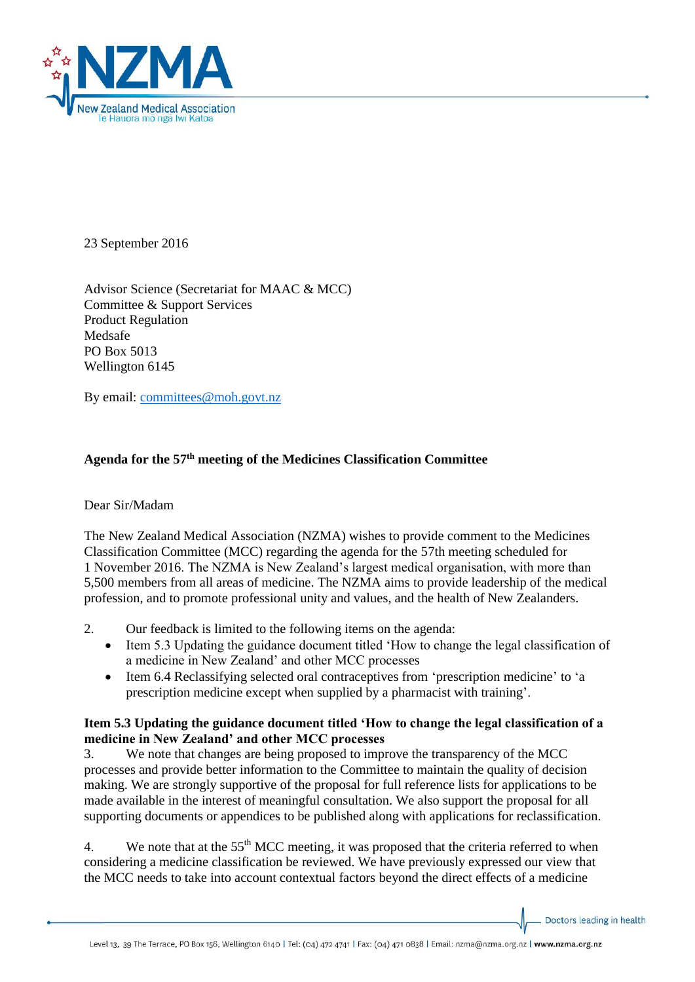

23 September 2016

Advisor Science (Secretariat for MAAC & MCC) Committee & Support Services Product Regulation Medsafe PO Box 5013 Wellington 6145

By email: [committees@moh.govt.nz](mailto:committees@moh.govt.nz)

## **Agenda for the 57 th meeting of the Medicines Classification Committee**

## Dear Sir/Madam

The New Zealand Medical Association (NZMA) wishes to provide comment to the Medicines Classification Committee (MCC) regarding the agenda for the 57th meeting scheduled for 1 November 2016. The NZMA is New Zealand's largest medical organisation, with more than 5,500 members from all areas of medicine. The NZMA aims to provide leadership of the medical profession, and to promote professional unity and values, and the health of New Zealanders.

- 2. Our feedback is limited to the following items on the agenda:
	- Item 5.3 Updating the guidance document titled 'How to change the legal classification of a medicine in New Zealand' and other MCC processes
	- Item 6.4 Reclassifying selected oral contraceptives from 'prescription medicine' to 'a prescription medicine except when supplied by a pharmacist with training'.

## **Item 5.3 Updating the guidance document titled 'How to change the legal classification of a medicine in New Zealand' and other MCC processes**

3. We note that changes are being proposed to improve the transparency of the MCC processes and provide better information to the Committee to maintain the quality of decision making. We are strongly supportive of the proposal for full reference lists for applications to be made available in the interest of meaningful consultation. We also support the proposal for all supporting documents or appendices to be published along with applications for reclassification.

4. We note that at the  $55<sup>th</sup> MCC$  meeting, it was proposed that the criteria referred to when considering a medicine classification be reviewed. We have previously expressed our view that the MCC needs to take into account contextual factors beyond the direct effects of a medicine

Doctors leading in health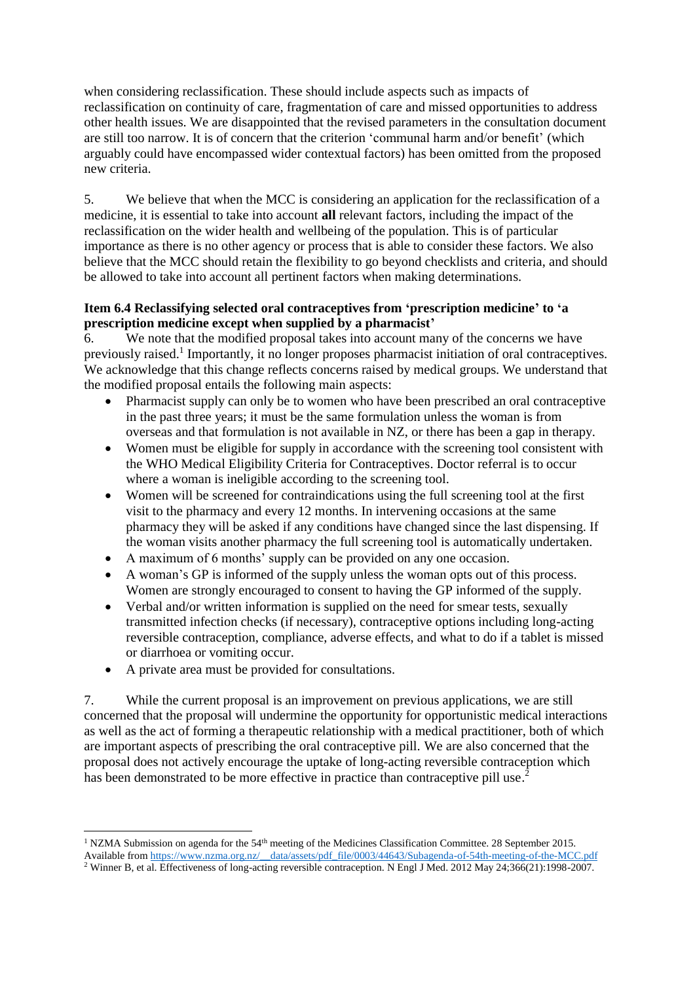when considering reclassification. These should include aspects such as impacts of reclassification on continuity of care, fragmentation of care and missed opportunities to address other health issues. We are disappointed that the revised parameters in the consultation document are still too narrow. It is of concern that the criterion 'communal harm and/or benefit' (which arguably could have encompassed wider contextual factors) has been omitted from the proposed new criteria.

5. We believe that when the MCC is considering an application for the reclassification of a medicine, it is essential to take into account **all** relevant factors, including the impact of the reclassification on the wider health and wellbeing of the population. This is of particular importance as there is no other agency or process that is able to consider these factors. We also believe that the MCC should retain the flexibility to go beyond checklists and criteria, and should be allowed to take into account all pertinent factors when making determinations.

## **Item 6.4 Reclassifying selected oral contraceptives from 'prescription medicine' to 'a prescription medicine except when supplied by a pharmacist'**

6. We note that the modified proposal takes into account many of the concerns we have previously raised.<sup>1</sup> Importantly, it no longer proposes pharmacist initiation of oral contraceptives. We acknowledge that this change reflects concerns raised by medical groups. We understand that the modified proposal entails the following main aspects:

- Pharmacist supply can only be to women who have been prescribed an oral contraceptive in the past three years; it must be the same formulation unless the woman is from overseas and that formulation is not available in NZ, or there has been a gap in therapy.
- Women must be eligible for supply in accordance with the screening tool consistent with the WHO Medical Eligibility Criteria for Contraceptives. Doctor referral is to occur where a woman is ineligible according to the screening tool.
- Women will be screened for contraindications using the full screening tool at the first visit to the pharmacy and every 12 months. In intervening occasions at the same pharmacy they will be asked if any conditions have changed since the last dispensing. If the woman visits another pharmacy the full screening tool is automatically undertaken.
- A maximum of 6 months' supply can be provided on any one occasion.
- A woman's GP is informed of the supply unless the woman opts out of this process. Women are strongly encouraged to consent to having the GP informed of the supply.
- Verbal and/or written information is supplied on the need for smear tests, sexually transmitted infection checks (if necessary), contraceptive options including long-acting reversible contraception, compliance, adverse effects, and what to do if a tablet is missed or diarrhoea or vomiting occur.
- A private area must be provided for consultations.

 $\overline{a}$ 

7. While the current proposal is an improvement on previous applications, we are still concerned that the proposal will undermine the opportunity for opportunistic medical interactions as well as the act of forming a therapeutic relationship with a medical practitioner, both of which are important aspects of prescribing the oral contraceptive pill. We are also concerned that the proposal does not actively encourage the uptake of long-acting reversible contraception which has been demonstrated to be more effective in practice than contraceptive pill use.<sup>2</sup>

<sup>&</sup>lt;sup>1</sup> NZMA Submission on agenda for the 54<sup>th</sup> meeting of the Medicines Classification Committee. 28 September 2015. Available from [https://www.nzma.org.nz/\\_\\_data/assets/pdf\\_file/0003/44643/Subagenda-of-54th-meeting-of-the-MCC.pdf](https://www.nzma.org.nz/__data/assets/pdf_file/0003/44643/Subagenda-of-54th-meeting-of-the-MCC.pdf)

<sup>&</sup>lt;sup>2</sup> Winner B, et al. Effectiveness of long-acting reversible contraception. N Engl J Med. 2012 May 24;366(21):1998-2007.